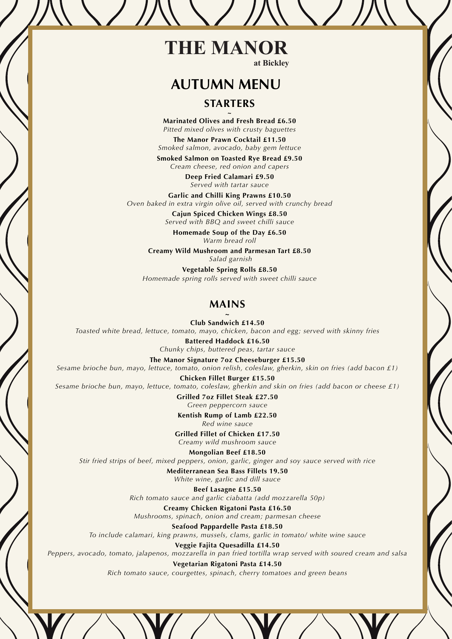### **THE MANOR at Bickley**

# **AUTUMN MENU**

## **STARTERS**

Marinated Olives and Fresh Bread £6.50 **Marinated Olives and Fresh Bread £6.50** *Pitted mixed olives with crusty baguettes*

> **The Manor Prawn Cocktail £11.50**<br> **Redistance avecade haby som lo** *Smoked salmon, avocado, baby gem lettuce*

**Included Salmon on Toasted Rye Bread £9.50** *Cream cheese, red onion and capers* 

**The book called Calamari £9.50** *Served with tartar sauce*

erved *with tartar sauce*<br>**Garlic and Chilli King Prawns £10.50** *Oven baked in extra virgin olive oil, served with crunchy bread*

**STARTERS Cajun Spiced Chicken Wings £8.50** Creamy Spinach Soup, Garlic Croutons *Served with BBQ and sweet chilli sauce*

**Duck & Orange & Orange & Orange & Orange & Orange Association of Pater, Toasted Ciabatta, Grape Chutney, Grape Chutney, Toasted Ciabatta, Grape Chutney, Grape Chutney, Grape Chutney, Grape Chutney, Grape Chutney, Grape Ch Homemade Soup of the Day £6.50**

**Portobello Mushroom and Parmesan Tart £8.50**<br>Creamy Wild Mushroom and Parmesan Tart £8.50  *Salad garnish*

**Smoked Salmon on Rye Bread, Horseradish Cream, Calmon on Rye Bread, Horseradish Cream, Calmond Salad Salad Salad Salad Salad Salad Salad Salad Salad Salad Salad Salad Salad Salad Salad Salad Salad Salad Salad Salad Salad** *Homemade spring rolls served with sweet chilli sauce*

#### Roast Striploin of Beef, Yorkshire Pudding, Gravy Roast Leg of Lamb, Minted Jus **MAINS**

Grilled Corn-Fed Chicken, Mushroom Cream Sauce *Toasted white bread, lettuce, tomato, mayo, chicken, bacon and egg; served with skinny fries* **~ Club Sandwich £14.50**

**Pan Fried Exercise Filtered Haddock £16.50** *Chunky chips, buttered peas, tartar sauce*

Enutry *Emps, Battered peas, tartal sauce*<br>The Manor Signature 7oz Cheeseburger £15.50

*All main courses served with roasted potatoes and seasonal vegetables Sesame brioche bun, mayo, lettuce, tomato, onion relish, coleslaw, gherkin, skin on fries (add bacon £1)*

**Chicken Fillet Burger £15.50** *Sesame brioche bun, mayo, lettuce, tomato, coleslaw, gherkin and skin on fries (add bacon or cheese £1)*

> **DESSERTS Grilled 7oz Fillet Steak £27.50** *Green peppercorn sauce*

**Kentish Rump of Lamb £22.50** 

Raspberry Cheesecake, Berry Garnish **Grilled Fillet of Chicken £17.50** *Red wine sauce*

 $C$ reamy wild mushroom sauce

Fresh Fruit Salad, Blood Orange Sorbet *Stir fried strips of beef, mixed peppers, onion, garlic, ginger and soy sauce served with rice*  **Mongolian Beef £18.50**

> **Children and an** *Sea* **bass inters 19.50**<br>White wine, garlic and dill sauce **Mediterranean Sea Bass Fillets 19.50**

**Under 10's can select from our Children's menu in the Beef Lasagne £15.50** *Rich tomato sauce and garlic ciabatta (add mozzarella 50p)*

*Athemany Chicken Rigatoni Pasta £16.50*<br>*Mushrooms, spinach, onion and cream; parmesan cheese* **Creamy Chicken Rigatoni Pasta £16.50**

*Please let our staff know if you have any food allergies, dietary requirements or you would like more informa-To include calamari, king prawns, mussels, clams, garlic in tomato/ white wine sauce* **Seafood Pappardelle Pasta £18.50**

*tion on any of our dishes. Our menus change seasonally and everything, where possible, is locally sourced,*  **Veggie Fajita Quesadilla £14.50**

Peppers, avocado, tomato, jalapenos, mozzarella in pan fried tortilla wrap served with soured cream and salsa *standards and our fish is sustainable.* **Vegetarian Rigatoni Pasta £14.50**

*All prices include VAT at 20%, and a discretionary charge of 12.5% will be added to your bill Rich tomato sauce, courgettes, spinach, cherry tomatoes and green beans*